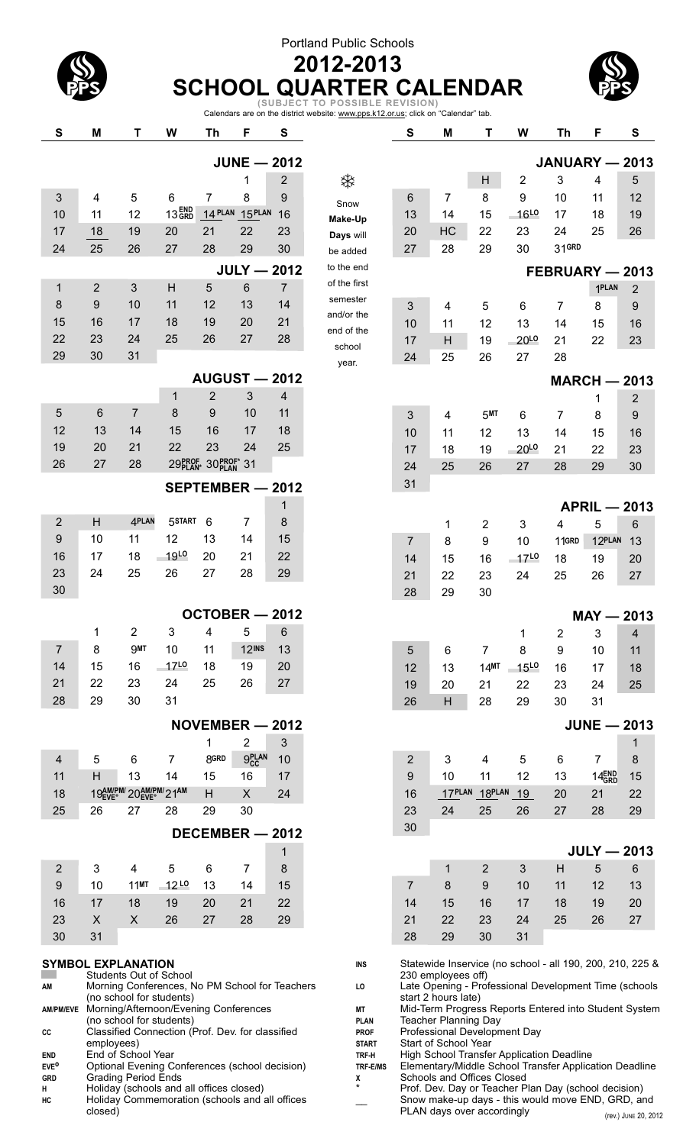## Portland Public Schools



### **2012-2013 SCHOOL QUARTER CALENDAR**

Calendars are on the district website: www.pps.k12.or.us; click on "Calendar" tab. **(SUBJECT TO POSSIBLE REVISION)**

| ${\bf S}$              | M                                                                          | Τ                       | W                 | Th                | F                    | $\mathbf{s}$                                                                                        |                                                                                    | S              | M                                                         | T                | W                | Th                  | F                 | $\mathbf{s}$           |
|------------------------|----------------------------------------------------------------------------|-------------------------|-------------------|-------------------|----------------------|-----------------------------------------------------------------------------------------------------|------------------------------------------------------------------------------------|----------------|-----------------------------------------------------------|------------------|------------------|---------------------|-------------------|------------------------|
|                        |                                                                            |                         |                   |                   | <b>JUNE - 2012</b>   |                                                                                                     |                                                                                    |                |                                                           |                  |                  | JANUARY - 2013      |                   |                        |
|                        |                                                                            |                         |                   |                   | 1                    | $\overline{2}$                                                                                      | ₩                                                                                  |                |                                                           | Н                | 2                | 3                   | 4                 | 5                      |
| 3                      | $\overline{4}$                                                             | 5                       | 6                 | $\overline{7}$    | 8                    | 9                                                                                                   | Snow                                                                               | 6              | 7                                                         | 8                | 9                | 10                  | 11                | 12                     |
| 10                     | 11                                                                         | 12                      | 13 <sub>GRD</sub> |                   | 14 PLAN 15 PLAN      | 16                                                                                                  | <b>Make-Up</b>                                                                     | 13             | 14                                                        | 15               | 16L0             | 17                  | 18                | 19                     |
| 17                     | 18                                                                         | 19                      | 20                | 21                | 22                   | 23                                                                                                  | Days will                                                                          | 20             | HC                                                        | 22               | 23               | 24                  | 25                | 26                     |
| 24                     | 25                                                                         | 26                      | 27                | 28                | 29                   | 30                                                                                                  | be added                                                                           | 27             | 28                                                        | 29               | 30               | 31GRD               |                   |                        |
|                        |                                                                            |                         |                   |                   | <b>JULY - 2012</b>   |                                                                                                     | to the end                                                                         |                |                                                           |                  |                  | FEBRUARY - 2013     |                   |                        |
| 1                      | $\overline{2}$                                                             | 3                       | H                 | 5                 | 6                    | $\overline{7}$                                                                                      | of the first                                                                       |                |                                                           |                  |                  |                     | 1PLAN             | $\overline{2}$         |
| 8                      | 9                                                                          | 10                      | 11                | 12                | 13                   | 14                                                                                                  | semester<br>and/or the                                                             | 3              | 4                                                         | 5                | 6                | 7                   | 8                 | 9                      |
| 15                     | 16                                                                         | 17                      | 18                | 19                | 20                   | 21                                                                                                  | end of the                                                                         | 10             | 11                                                        | 12               | 13               | 14                  | 15                | 16                     |
| 22                     | 23                                                                         | 24                      | 25                | 26                | 27                   | 28                                                                                                  | school                                                                             | 17             | H                                                         | 19               | 20L <sub>0</sub> | 21                  | 22                | 23                     |
| 29                     | 30                                                                         | 31                      |                   |                   |                      |                                                                                                     | year.                                                                              | 24             | 25                                                        | 26               | 27               | 28                  |                   |                        |
|                        |                                                                            |                         |                   |                   | <b>AUGUST - 2012</b> |                                                                                                     |                                                                                    |                |                                                           |                  |                  | <b>MARCH - 2013</b> |                   |                        |
|                        |                                                                            |                         | 1                 | 2                 | 3                    | 4                                                                                                   |                                                                                    |                |                                                           |                  |                  |                     | 1                 | $\overline{c}$         |
| 5                      | $6\phantom{1}$                                                             | $\overline{7}$          | 8                 | 9                 | 10                   | 11                                                                                                  |                                                                                    | 3              | 4                                                         | 5 <sup>MT</sup>  | 6                | $\overline{7}$      | 8                 | 9                      |
| 12                     | 13                                                                         | 14                      | 15                | 16                | 17                   | 18                                                                                                  |                                                                                    | 10             | 11                                                        | 12               | 13               | 14                  | 15                | 16                     |
| 19                     | 20                                                                         | 21                      | 22                | 23                | 24                   | 25                                                                                                  |                                                                                    | 17             | 18                                                        | 19               | 20L0             | 21                  | 22                | 23                     |
| 26                     | 27                                                                         | 28                      |                   | 29PROF 30PROF* 31 |                      |                                                                                                     |                                                                                    | 24             | 25                                                        | 26               | 27               | 28                  | 29                | 30                     |
|                        |                                                                            |                         |                   |                   | SEPTEMBER - 2012     |                                                                                                     |                                                                                    | 31             |                                                           |                  |                  |                     |                   |                        |
|                        |                                                                            |                         |                   |                   |                      | 1                                                                                                   |                                                                                    |                |                                                           |                  |                  |                     |                   | <b>APRIL - 2013</b>    |
| $\overline{2}$         | H                                                                          | 4PLAN                   | 5START            | 6                 | $\overline{7}$       | 8                                                                                                   |                                                                                    |                | 1                                                         | 2                | 3                | 4                   | 5                 | 6                      |
| 9                      | 10                                                                         | 11                      | 12                | 13                | 14                   | 15                                                                                                  |                                                                                    | 7              | 8                                                         | 9                | 10               | 11GRD               | 12PLAN            | 13                     |
| 16                     | 17                                                                         | 18                      | $-19^{LO}$        | 20                | 21                   | 22                                                                                                  |                                                                                    | 14             | 15                                                        | 16               | $-17^{10}$       | 18                  | 19                | 20                     |
| 23                     | 24                                                                         | 25                      | 26                | 27                | 28                   | 29                                                                                                  |                                                                                    | 21             | 22                                                        | 23               | 24               | 25                  | 26                | 27                     |
| 30                     |                                                                            |                         |                   |                   |                      |                                                                                                     |                                                                                    | 28             | 29                                                        | 30               |                  |                     |                   |                        |
|                        |                                                                            |                         |                   |                   | OCTOBER - 2012       |                                                                                                     |                                                                                    |                |                                                           |                  |                  |                     |                   | $MAY - 2013$           |
|                        | 1                                                                          | $\overline{\mathbf{c}}$ | $\mathbf{3}$      |                   | 4 5 6                |                                                                                                     |                                                                                    |                |                                                           |                  | $\mathbf{1}$     | $2^{\circ}$         | 3 <sup>7</sup>    | $\overline{4}$         |
| 7                      | 8                                                                          | <b>9MT</b>              | 10                | 11                | 12 <sub>INS</sub>    | 13                                                                                                  |                                                                                    | 5              | 6                                                         | 7                | 8                | 9                   | 10                | 11                     |
| 14                     | 15                                                                         | 16                      | $-17^{L0}$        | 18                | 19                   | 20                                                                                                  |                                                                                    | 12             | 13                                                        | 14 <sup>MT</sup> | <b>15L0</b>      | 16                  | 17                | 18                     |
| 21                     | 22                                                                         | 23                      | 24                | 25                | 26                   | 27                                                                                                  |                                                                                    | 19             | 20                                                        | 21               | 22               | 23                  | 24                | 25                     |
| 28                     | 29                                                                         | 30                      | 31                |                   |                      |                                                                                                     |                                                                                    | 26             | H                                                         | 28               | 29               | 30                  | 31                |                        |
|                        |                                                                            |                         |                   |                   | NOVEMBER - 2012      |                                                                                                     |                                                                                    |                |                                                           |                  |                  |                     |                   | $JUNE - 2013$          |
|                        |                                                                            |                         |                   | 1                 | $\overline{2}$       | 3                                                                                                   |                                                                                    |                |                                                           |                  |                  |                     |                   | 1                      |
| $\overline{4}$         | 5                                                                          | 6                       | 7                 | 8GRD              | 9 <sub>CC</sub>      | 10                                                                                                  |                                                                                    | $\overline{2}$ | 3                                                         | 4                | 5                | 6                   | 7                 | 8                      |
| 11                     | H                                                                          | 13                      | 14                | 15                | 16                   | 17                                                                                                  |                                                                                    | 9              | 10                                                        | 11               | 12               | 13                  | 14 <sub>GRD</sub> | 15                     |
| 18                     |                                                                            | 194M/PM/204M/PM/214M    |                   | Н                 | X                    | 24                                                                                                  |                                                                                    | 16             | 17PLAN                                                    | 18PLAN           | 19               | 20                  | 21                | 22                     |
| 25                     | 26                                                                         | 27                      | 28                | 29                | 30                   |                                                                                                     |                                                                                    | 23             | 24                                                        | 25               | 26               | 27                  | 28                | 29                     |
|                        |                                                                            |                         |                   |                   | DECEMBER - 2012      |                                                                                                     |                                                                                    | 30             |                                                           |                  |                  |                     |                   |                        |
|                        |                                                                            |                         |                   |                   |                      | 1                                                                                                   |                                                                                    |                |                                                           |                  |                  |                     |                   | $JULY - 2013$          |
| 2                      | 3                                                                          | 4                       | 5                 | 6                 | 7                    | 8                                                                                                   |                                                                                    |                | 1                                                         | 2                | 3                | Н                   | 5                 | 6                      |
| 9                      | 10                                                                         | $11$ MT                 | $12^{L0}$         | 13                | 14                   | 15                                                                                                  |                                                                                    | $\overline{7}$ | 8                                                         | 9                | 10               | 11                  | 12                | 13                     |
| 16                     | 17                                                                         | 18                      | 19                | 20                | 21                   | 22                                                                                                  |                                                                                    | 14             | 15                                                        | 16               | 17               | 18                  | 19                | 20                     |
| 23                     | X                                                                          | $\mathsf{X}$            | 26                | 27                | 28                   | 29                                                                                                  |                                                                                    | 21             | 22                                                        | 23               | 24               | 25                  | 26                | 27                     |
| 30                     | 31                                                                         |                         |                   |                   |                      |                                                                                                     |                                                                                    | 28             | 29                                                        | 30               | 31               |                     |                   |                        |
|                        | <b>SYMBOL EXPLANATION</b>                                                  |                         |                   |                   |                      |                                                                                                     | INS                                                                                |                | Statewide Inservice (no school - all 190, 200, 210, 225 & |                  |                  |                     |                   |                        |
| AM                     | <b>Students Out of School</b>                                              |                         |                   |                   |                      |                                                                                                     | LO                                                                                 |                | 230 employees off)                                        |                  |                  |                     |                   |                        |
|                        | Morning Conferences, No PM School for Teachers<br>(no school for students) |                         |                   |                   |                      |                                                                                                     | Late Opening - Professional Development Time (schools<br>start 2 hours late)       |                |                                                           |                  |                  |                     |                   |                        |
| <b>AM/PM/EVE</b>       | Morning/Afternoon/Evening Conferences<br>(no school for students)          |                         |                   |                   | MT<br><b>PLAN</b>    | Mid-Term Progress Reports Entered into Student System<br>Teacher Planning Day                       |                                                                                    |                |                                                           |                  |                  |                     |                   |                        |
| СC                     | Classified Connection (Prof. Dev. for classified                           |                         |                   |                   |                      |                                                                                                     | <b>PROF</b>                                                                        |                | Professional Development Day                              |                  |                  |                     |                   |                        |
| END                    | employees)<br>End of School Year                                           |                         |                   |                   |                      |                                                                                                     | <b>START</b><br>TRF-H                                                              |                | Start of School Year                                      |                  |                  |                     |                   |                        |
| <b>EVE<sup>O</sup></b> | Optional Evening Conferences (school decision)                             |                         |                   |                   | TRF-E/MS             | High School Transfer Application Deadline<br>Elementary/Middle School Transfer Application Deadline |                                                                                    |                |                                                           |                  |                  |                     |                   |                        |
| GRD<br>н               | Grading Period Ends<br>Holiday (schools and all offices closed)            |                         |                   |                   | Х<br>$\star$         |                                                                                                     | Schools and Offices Closed<br>Prof. Dev. Day or Teacher Plan Day (school decision) |                |                                                           |                  |                  |                     |                   |                        |
| HC                     | Holiday Commemoration (schools and all offices                             |                         |                   |                   |                      |                                                                                                     |                                                                                    |                | Snow make-up days - this would move END, GRD, and         |                  |                  |                     |                   |                        |
|                        | closed)                                                                    |                         |                   |                   |                      |                                                                                                     |                                                                                    |                | PLAN days over accordingly                                |                  |                  |                     |                   | $(r_{01})$ line 20 201 |

(rev.) JUNE 20, 2012